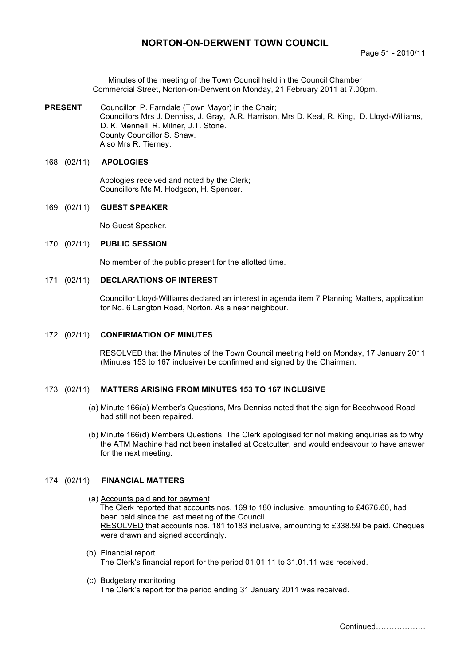# **NORTON-ON-DERWENT TOWN COUNCIL**

Minutes of the meeting of the Town Council held in the Council Chamber Commercial Street, Norton-on-Derwent on Monday, 21 February 2011 at 7.00pm.

**PRESENT** Councillor P. Farndale (Town Mayor) in the Chair; Councillors Mrs J. Denniss, J. Gray, A.R. Harrison, Mrs D. Keal, R. King, D. Lloyd-Williams, D. K. Mennell, R. Milner, J.T. Stone. County Councillor S. Shaw. Also Mrs R. Tierney.

#### 168. (02/11) **APOLOGIES**

 Apologies received and noted by the Clerk; Councillors Ms M. Hodgson, H. Spencer.

#### 169. (02/11) **GUEST SPEAKER**

No Guest Speaker.

# 170. (02/11) **PUBLIC SESSION**

No member of the public present for the allotted time.

#### 171. (02/11) **DECLARATIONS OF INTEREST**

 Councillor Lloyd-Williams declared an interest in agenda item 7 Planning Matters, application for No. 6 Langton Road, Norton. As a near neighbour.

## 172. (02/11) **CONFIRMATION OF MINUTES**

 RESOLVED that the Minutes of the Town Council meeting held on Monday, 17 January 2011 (Minutes 153 to 167 inclusive) be confirmed and signed by the Chairman.

# 173. (02/11) **MATTERS ARISING FROM MINUTES 153 TO 167 INCLUSIVE**

- (a) Minute 166(a) Member's Questions, Mrs Denniss noted that the sign for Beechwood Road had still not been repaired.
- (b) Minute 166(d) Members Questions, The Clerk apologised for not making enquiries as to why the ATM Machine had not been installed at Costcutter, and would endeavour to have answer for the next meeting.

# 174. (02/11) **FINANCIAL MATTERS**

- (a) Accounts paid and for payment The Clerk reported that accounts nos. 169 to 180 inclusive, amounting to £4676.60, had been paid since the last meeting of the Council. RESOLVED that accounts nos. 181 to183 inclusive, amounting to £338.59 be paid. Cheques were drawn and signed accordingly.
- (b) Financial report The Clerk's financial report for the period 01.01.11 to 31.01.11 was received.
- (c) Budgetary monitoring The Clerk's report for the period ending 31 January 2011 was received.

Continued……………….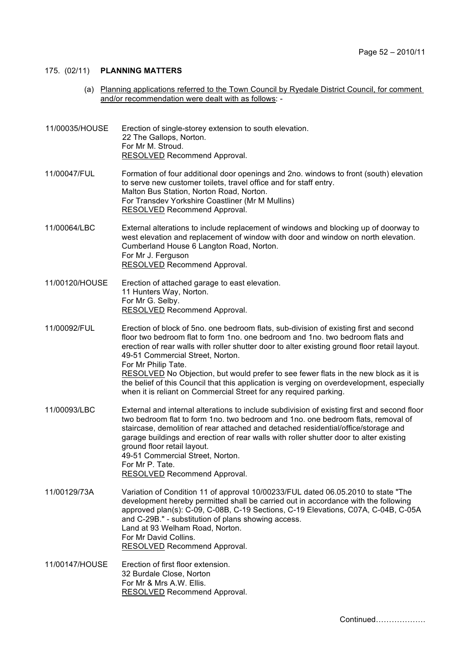# 175. (02/11) **PLANNING MATTERS**

 (a) Planning applications referred to the Town Council by Ryedale District Council, for comment and/or recommendation were dealt with as follows: -

| 11/00035/HOUSE | Erection of single-storey extension to south elevation.<br>22 The Gallops, Norton.<br>For Mr M. Stroud.<br>RESOLVED Recommend Approval.                                                                                                                                                                                                                                                                                                                                                                                                                                                         |
|----------------|-------------------------------------------------------------------------------------------------------------------------------------------------------------------------------------------------------------------------------------------------------------------------------------------------------------------------------------------------------------------------------------------------------------------------------------------------------------------------------------------------------------------------------------------------------------------------------------------------|
| 11/00047/FUL   | Formation of four additional door openings and 2no. windows to front (south) elevation<br>to serve new customer toilets, travel office and for staff entry.<br>Malton Bus Station, Norton Road, Norton.<br>For Transdev Yorkshire Coastliner (Mr M Mullins)<br><b>RESOLVED Recommend Approval.</b>                                                                                                                                                                                                                                                                                              |
| 11/00064/LBC   | External alterations to include replacement of windows and blocking up of doorway to<br>west elevation and replacement of window with door and window on north elevation.<br>Cumberland House 6 Langton Road, Norton.<br>For Mr J. Ferguson<br>RESOLVED Recommend Approval.                                                                                                                                                                                                                                                                                                                     |
| 11/00120/HOUSE | Erection of attached garage to east elevation.<br>11 Hunters Way, Norton.<br>For Mr G. Selby.<br><b>RESOLVED</b> Recommend Approval.                                                                                                                                                                                                                                                                                                                                                                                                                                                            |
| 11/00092/FUL   | Erection of block of 5no. one bedroom flats, sub-division of existing first and second<br>floor two bedroom flat to form 1no. one bedroom and 1no. two bedroom flats and<br>erection of rear walls with roller shutter door to alter existing ground floor retail layout.<br>49-51 Commercial Street, Norton.<br>For Mr Philip Tate.<br>RESOLVED No Objection, but would prefer to see fewer flats in the new block as it is<br>the belief of this Council that this application is verging on overdevelopment, especially<br>when it is reliant on Commercial Street for any required parking. |
| 11/00093/LBC   | External and internal alterations to include subdivision of existing first and second floor<br>two bedroom flat to form 1no. two bedroom and 1no. one bedroom flats, removal of<br>staircase, demolition of rear attached and detached residential/office/storage and<br>garage buildings and erection of rear walls with roller shutter door to alter existing<br>ground floor retail layout.<br>49-51 Commercial Street, Norton.<br>For Mr P. Tate.<br><b>RESOLVED</b> Recommend Approval.                                                                                                    |
| 11/00129/73A   | Variation of Condition 11 of approval 10/00233/FUL dated 06.05.2010 to state "The<br>development hereby permitted shall be carried out in accordance with the following<br>approved plan(s): C-09, C-08B, C-19 Sections, C-19 Elevations, C07A, C-04B, C-05A<br>and C-29B." - substitution of plans showing access.<br>Land at 93 Welham Road, Norton.<br>For Mr David Collins.<br><b>RESOLVED Recommend Approval.</b>                                                                                                                                                                          |
| 11/00147/HOUSE | Erection of first floor extension.<br>32 Burdale Close, Norton<br>For Mr & Mrs A.W. Ellis.<br><b>RESOLVED</b> Recommend Approval.                                                                                                                                                                                                                                                                                                                                                                                                                                                               |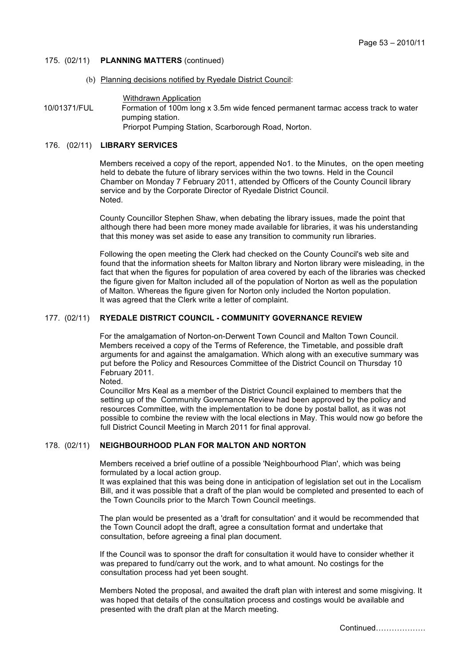#### 175. (02/11) **PLANNING MATTERS** (continued)

(b) Planning decisions notified by Ryedale District Council:

Withdrawn Application

10/01371/FUL Formation of 100m long x 3.5m wide fenced permanent tarmac access track to water pumping station. Priorpot Pumping Station, Scarborough Road, Norton.

# 176. (02/11) **LIBRARY SERVICES**

Members received a copy of the report, appended No1. to the Minutes, on the open meeting held to debate the future of library services within the two towns. Held in the Council Chamber on Monday 7 February 2011, attended by Officers of the County Council library service and by the Corporate Director of Ryedale District Council. Noted.

County Councillor Stephen Shaw, when debating the library issues, made the point that although there had been more money made available for libraries, it was his understanding that this money was set aside to ease any transition to community run libraries.

Following the open meeting the Clerk had checked on the County Council's web site and found that the information sheets for Malton library and Norton library were misleading, in the fact that when the figures for population of area covered by each of the libraries was checked the figure given for Malton included all of the population of Norton as well as the population of Malton. Whereas the figure given for Norton only included the Norton population. It was agreed that the Clerk write a letter of complaint.

# 177. (02/11) **RYEDALE DISTRICT COUNCIL - COMMUNITY GOVERNANCE REVIEW**

For the amalgamation of Norton-on-Derwent Town Council and Malton Town Council. Members received a copy of the Terms of Reference, the Timetable, and possible draft arguments for and against the amalgamation. Which along with an executive summary was put before the Policy and Resources Committee of the District Council on Thursday 10 February 2011.

Noted.

Councillor Mrs Keal as a member of the District Council explained to members that the setting up of the Community Governance Review had been approved by the policy and resources Committee, with the implementation to be done by postal ballot, as it was not possible to combine the review with the local elections in May. This would now go before the full District Council Meeting in March 2011 for final approval.

#### 178. (02/11) **NEIGHBOURHOOD PLAN FOR MALTON AND NORTON**

Members received a brief outline of a possible 'Neighbourhood Plan', which was being formulated by a local action group.

It was explained that this was being done in anticipation of legislation set out in the Localism Bill, and it was possible that a draft of the plan would be completed and presented to each of the Town Councils prior to the March Town Council meetings.

The plan would be presented as a 'draft for consultation' and it would be recommended that the Town Council adopt the draft, agree a consultation format and undertake that consultation, before agreeing a final plan document.

If the Council was to sponsor the draft for consultation it would have to consider whether it was prepared to fund/carry out the work, and to what amount. No costings for the consultation process had yet been sought.

Members Noted the proposal, and awaited the draft plan with interest and some misgiving. It was hoped that details of the consultation process and costings would be available and presented with the draft plan at the March meeting.

Continued……………….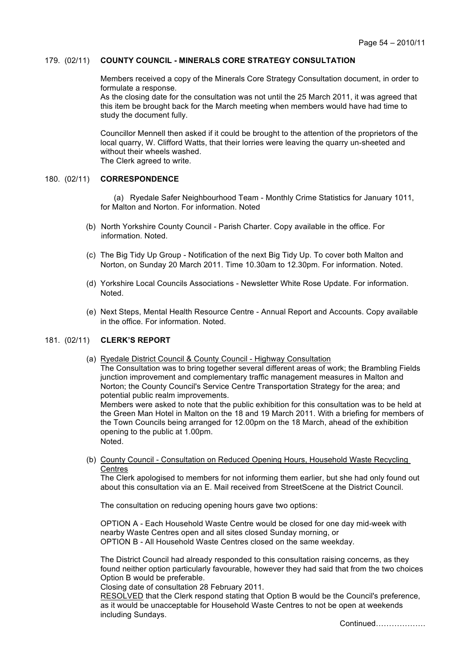# 179. (02/11) **COUNTY COUNCIL - MINERALS CORE STRATEGY CONSULTATION**

Members received a copy of the Minerals Core Strategy Consultation document, in order to formulate a response.

As the closing date for the consultation was not until the 25 March 2011, it was agreed that this item be brought back for the March meeting when members would have had time to study the document fully.

Councillor Mennell then asked if it could be brought to the attention of the proprietors of the local quarry, W. Clifford Watts, that their lorries were leaving the quarry un-sheeted and without their wheels washed. The Clerk agreed to write.

## 180. (02/11) **CORRESPONDENCE**

 (a) Ryedale Safer Neighbourhood Team - Monthly Crime Statistics for January 1011, for Malton and Norton. For information. Noted

- (b) North Yorkshire County Council Parish Charter. Copy available in the office. For information. Noted.
- (c) The Big Tidy Up Group Notification of the next Big Tidy Up. To cover both Malton and Norton, on Sunday 20 March 2011. Time 10.30am to 12.30pm. For information. Noted.
- (d) Yorkshire Local Councils Associations Newsletter White Rose Update. For information. Noted.
- (e) Next Steps, Mental Health Resource Centre Annual Report and Accounts. Copy available in the office. For information. Noted.

#### 181. (02/11) **CLERK'S REPORT**

- (a) Ryedale District Council & County Council Highway Consultation The Consultation was to bring together several different areas of work; the Brambling Fields junction improvement and complementary traffic management measures in Malton and Norton; the County Council's Service Centre Transportation Strategy for the area; and potential public realm improvements. Members were asked to note that the public exhibition for this consultation was to be held at the Green Man Hotel in Malton on the 18 and 19 March 2011. With a briefing for members of the Town Councils being arranged for 12.00pm on the 18 March, ahead of the exhibition opening to the public at 1.00pm. Noted.
- (b) County Council Consultation on Reduced Opening Hours, Household Waste Recycling **Centres**

The Clerk apologised to members for not informing them earlier, but she had only found out about this consultation via an E. Mail received from StreetScene at the District Council.

The consultation on reducing opening hours gave two options:

OPTION A - Each Household Waste Centre would be closed for one day mid-week with nearby Waste Centres open and all sites closed Sunday morning, or OPTION B - All Household Waste Centres closed on the same weekday.

The District Council had already responded to this consultation raising concerns, as they found neither option particularly favourable, however they had said that from the two choices Option B would be preferable.

Closing date of consultation 28 February 2011.

RESOLVED that the Clerk respond stating that Option B would be the Council's preference, as it would be unacceptable for Household Waste Centres to not be open at weekends including Sundays.

Continued……………….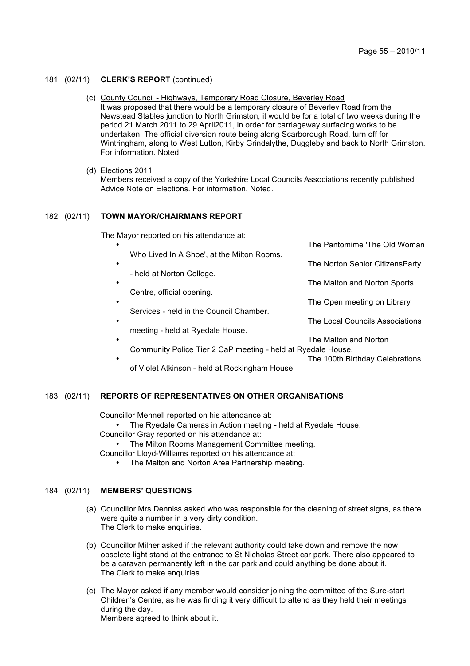## 181. (02/11) **CLERK'S REPORT** (continued)

 (c) County Council - Highways, Temporary Road Closure, Beverley Road It was proposed that there would be a temporary closure of Beverley Road from the Newstead Stables junction to North Grimston, it would be for a total of two weeks during the period 21 March 2011 to 29 April2011, in order for carriageway surfacing works to be undertaken. The official diversion route being along Scarborough Road, turn off for Wintringham, along to West Lutton, Kirby Grindalythe, Duggleby and back to North Grimston. For information. Noted.

### (d) Elections 2011

Members received a copy of the Yorkshire Local Councils Associations recently published Advice Note on Elections. For information. Noted.

# 182. (02/11) **TOWN MAYOR/CHAIRMANS REPORT**

The Mayor reported on his attendance at:

|                                                      | The Pantomime 'The Old Woman                                 |  |
|------------------------------------------------------|--------------------------------------------------------------|--|
| Who Lived In A Shoe', at the Milton Rooms.           | The Norton Senior CitizensParty                              |  |
| - held at Norton College.<br>$\bullet$               | The Malton and Norton Sports                                 |  |
| Centre, official opening.                            |                                                              |  |
| $\bullet$<br>Services - held in the Council Chamber. | The Open meeting on Library                                  |  |
|                                                      | The Local Councils Associations                              |  |
| meeting - held at Ryedale House.                     |                                                              |  |
| $\bullet$                                            | The Malton and Norton                                        |  |
|                                                      | Community Police Tier 2 CaP meeting - held at Ryedale House. |  |
|                                                      | The 100th Birthday Celebrations                              |  |
| of Violet Atkinson - held at Rockingham House.       |                                                              |  |

# 183. (02/11) **REPORTS OF REPRESENTATIVES ON OTHER ORGANISATIONS**

Councillor Mennell reported on his attendance at:

• The Ryedale Cameras in Action meeting - held at Ryedale House.

Councillor Gray reported on his attendance at:

• The Milton Rooms Management Committee meeting.

Councillor Lloyd-Williams reported on his attendance at:

• The Malton and Norton Area Partnership meeting.

#### 184. (02/11) **MEMBERS' QUESTIONS**

- (a) Councillor Mrs Denniss asked who was responsible for the cleaning of street signs, as there were quite a number in a very dirty condition. The Clerk to make enquiries.
- (b) Councillor Milner asked if the relevant authority could take down and remove the now obsolete light stand at the entrance to St Nicholas Street car park. There also appeared to be a caravan permanently left in the car park and could anything be done about it. The Clerk to make enquiries.
- (c) The Mayor asked if any member would consider joining the committee of the Sure-start Children's Centre, as he was finding it very difficult to attend as they held their meetings during the day. Members agreed to think about it.